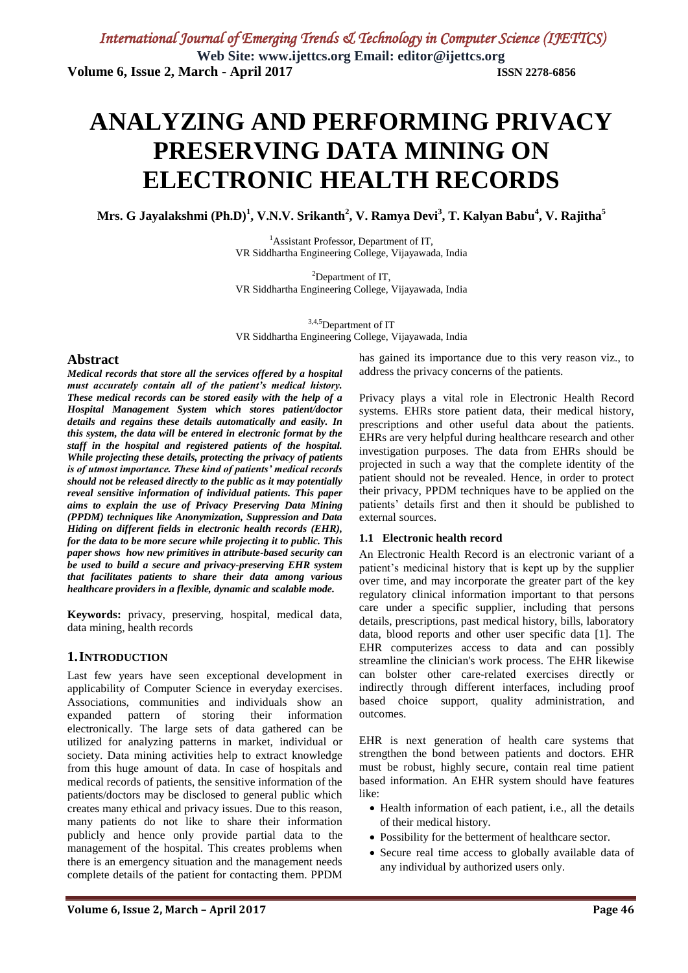# **ANALYZING AND PERFORMING PRIVACY PRESERVING DATA MINING ON ELECTRONIC HEALTH RECORDS**

 $M$ rs. G Jayalakshmi (Ph.D) $^{1}$ , V.N.V. Srikanth $^{2}$ , V. Ramya Devi $^{3}$ , T. Kalyan Babu $^{4}$ , V. Rajitha $^{5}$ 

<sup>1</sup>Assistant Professor, Department of IT, VR Siddhartha Engineering College, Vijayawada, India

<sup>2</sup>Department of IT, VR Siddhartha Engineering College, Vijayawada, India

3,4,5Department of IT VR Siddhartha Engineering College, Vijayawada, India

#### **Abstract**

*Medical records that store all the services offered by a hospital must accurately contain all of the patient's medical history. These medical records can be stored easily with the help of a Hospital Management System which stores patient/doctor details and regains these details automatically and easily. In this system, the data will be entered in electronic format by the staff in the hospital and registered patients of the hospital. While projecting these details, protecting the privacy of patients is of utmost importance. These kind of patients' medical records should not be released directly to the public as it may potentially reveal sensitive information of individual patients. This paper aims to explain the use of Privacy Preserving Data Mining (PPDM) techniques like Anonymization, Suppression and Data Hiding on different fields in electronic health records (EHR), for the data to be more secure while projecting it to public. This paper shows how new primitives in attribute-based security can be used to build a secure and privacy-preserving EHR system that facilitates patients to share their data among various healthcare providers in a flexible, dynamic and scalable mode.*

**Keywords:** privacy, preserving, hospital, medical data, data mining, health records

#### **1.INTRODUCTION**

Last few years have seen exceptional development in applicability of Computer Science in everyday exercises. Associations, communities and individuals show an expanded pattern of storing their information electronically. The large sets of data gathered can be utilized for analyzing patterns in market, individual or society. Data mining activities help to extract knowledge from this huge amount of data. In case of hospitals and medical records of patients, the sensitive information of the patients/doctors may be disclosed to general public which creates many ethical and privacy issues. Due to this reason, many patients do not like to share their information publicly and hence only provide partial data to the management of the hospital. This creates problems when there is an emergency situation and the management needs complete details of the patient for contacting them. PPDM has gained its importance due to this very reason viz., to address the privacy concerns of the patients.

Privacy plays a vital role in Electronic Health Record systems. EHRs store patient data, their medical history, prescriptions and other useful data about the patients. EHRs are very helpful during healthcare research and other investigation purposes. The data from EHRs should be projected in such a way that the complete identity of the patient should not be revealed. Hence, in order to protect their privacy, PPDM techniques have to be applied on the patients' details first and then it should be published to external sources.

#### **1.1 Electronic health record**

An Electronic Health Record is an electronic variant of a patient's medicinal history that is kept up by the supplier over time, and may incorporate the greater part of the key regulatory clinical information important to that persons care under a specific supplier, including that persons details, prescriptions, past medical history, bills, laboratory data, blood reports and other user specific data [1]. The EHR computerizes access to data and can possibly streamline the clinician's work process. The EHR likewise can bolster other care-related exercises directly or indirectly through different interfaces, including proof based choice support, quality administration, and outcomes.

EHR is next generation of health care systems that strengthen the bond between patients and doctors. EHR must be robust, highly secure, contain real time patient based information. An EHR system should have features like:

- Health information of each patient, i.e., all the details of their medical history.
- Possibility for the betterment of healthcare sector.
- Secure real time access to globally available data of any individual by authorized users only.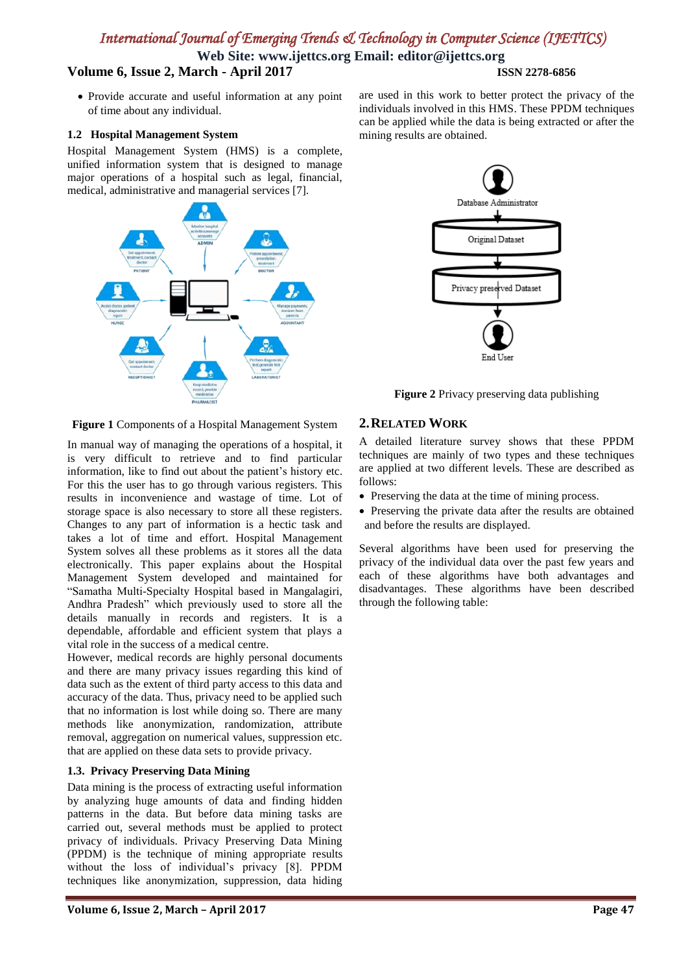**Web Site: www.ijettcs.org Email: editor@ijettcs.org**

## **Volume 6, Issue 2, March - April 2017 ISSN 2278-6856**

• Provide accurate and useful information at any point of time about any individual.

#### **1.2 Hospital Management System**

Hospital Management System (HMS) is a complete, unified information system that is designed to manage major operations of a hospital such as legal, financial, medical, administrative and managerial services [7].



**Figure 1** Components of a Hospital Management System

In manual way of managing the operations of a hospital, it is very difficult to retrieve and to find particular information, like to find out about the patient's history etc. For this the user has to go through various registers. This results in inconvenience and wastage of time. Lot of storage space is also necessary to store all these registers. Changes to any part of information is a hectic task and takes a lot of time and effort. Hospital Management System solves all these problems as it stores all the data electronically. This paper explains about the Hospital Management System developed and maintained for "Samatha Multi-Specialty Hospital based in Mangalagiri, Andhra Pradesh" which previously used to store all the details manually in records and registers. It is a dependable, affordable and efficient system that plays a vital role in the success of a medical centre.

However, medical records are highly personal documents and there are many privacy issues regarding this kind of data such as the extent of third party access to this data and accuracy of the data. Thus, privacy need to be applied such that no information is lost while doing so. There are many methods like anonymization, randomization, attribute removal, aggregation on numerical values, suppression etc. that are applied on these data sets to provide privacy.

#### **1.3. Privacy Preserving Data Mining**

Data mining is the process of extracting useful information by analyzing huge amounts of data and finding hidden patterns in the data. But before data mining tasks are carried out, several methods must be applied to protect privacy of individuals. Privacy Preserving Data Mining (PPDM) is the technique of mining appropriate results without the loss of individual's privacy [8]. PPDM techniques like anonymization, suppression, data hiding

are used in this work to better protect the privacy of the individuals involved in this HMS. These PPDM techniques can be applied while the data is being extracted or after the mining results are obtained.



**Figure 2** Privacy preserving data publishing

#### **2.RELATED WORK**

A detailed literature survey shows that these PPDM techniques are mainly of two types and these techniques are applied at two different levels. These are described as follows:

- Preserving the data at the time of mining process.
- Preserving the private data after the results are obtained and before the results are displayed.

Several algorithms have been used for preserving the privacy of the individual data over the past few years and each of these algorithms have both advantages and disadvantages. These algorithms have been described through the following table: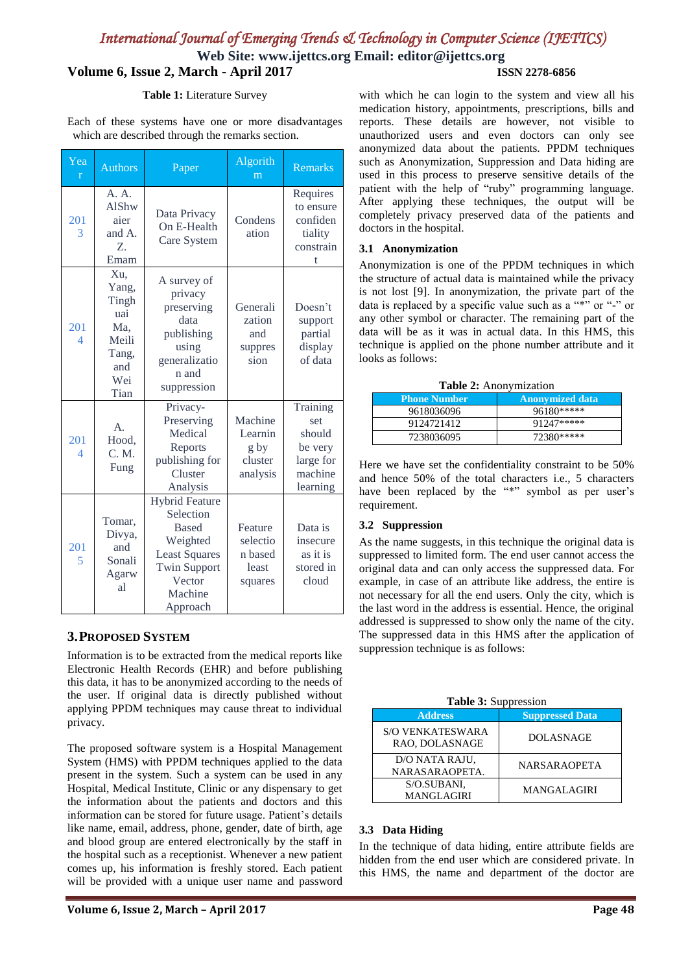**Web Site: www.ijettcs.org Email: editor@ijettcs.org Volume 6, Issue 2, March - April 2017 ISSN 2278-6856**

#### **Table 1:** Literature Survey

Each of these systems have one or more disadvantages which are described through the remarks section.

| Yea<br>$\mathbf{r}$             | <b>Authors</b>                                                              | Paper                                                                                                                                          | Algorith<br>m                                      | <b>Remarks</b>                                                           |
|---------------------------------|-----------------------------------------------------------------------------|------------------------------------------------------------------------------------------------------------------------------------------------|----------------------------------------------------|--------------------------------------------------------------------------|
| 201<br>3                        | A. A.<br><b>AlShw</b><br>aier<br>and A.<br>Z.<br>Emam                       | Data Privacy<br>On E-Health<br>Care System                                                                                                     | Condens<br>ation                                   | Requires<br>to ensure<br>confiden<br>tiality<br>constrain<br>t           |
| 201<br>$\overline{4}$           | Xu,<br>Yang,<br>Tingh<br>uai<br>Ma,<br>Meili<br>Tang,<br>and<br>Wei<br>Tian | A survey of<br>privacy<br>preserving<br>data<br>publishing<br>using<br>generalizatio<br>n and<br>suppression                                   | Generali<br>zation<br>and<br>suppres<br>sion       | Doesn't<br>support<br>partial<br>display<br>of data                      |
| 201<br>$\overline{\mathcal{A}}$ | A <sub>1</sub><br>Hood.<br>C. M.<br>Fung                                    | Privacy-<br>Preserving<br>Medical<br>Reports<br>publishing for<br>Cluster<br>Analysis                                                          | Machine<br>Learnin<br>g by<br>cluster<br>analysis  | Training<br>set<br>should<br>be very<br>large for<br>machine<br>learning |
| 201<br>5                        | Tomar,<br>Divya,<br>and<br>Sonali<br>Agarw<br>al                            | <b>Hybrid Feature</b><br>Selection<br><b>Based</b><br>Weighted<br><b>Least Squares</b><br><b>Twin Support</b><br>Vector<br>Machine<br>Approach | Feature<br>selectio<br>n based<br>least<br>squares | Data is<br>insecure<br>as it is<br>stored in<br>cloud                    |

#### **3.PROPOSED SYSTEM**

Information is to be extracted from the medical reports like Electronic Health Records (EHR) and before publishing this data, it has to be anonymized according to the needs of the user. If original data is directly published without applying PPDM techniques may cause threat to individual privacy.

The proposed software system is a Hospital Management System (HMS) with PPDM techniques applied to the data present in the system. Such a system can be used in any Hospital, Medical Institute, Clinic or any dispensary to get the information about the patients and doctors and this information can be stored for future usage. Patient's details like name, email, address, phone, gender, date of birth, age and blood group are entered electronically by the staff in the hospital such as a receptionist. Whenever a new patient comes up, his information is freshly stored. Each patient will be provided with a unique user name and password

with which he can login to the system and view all his medication history, appointments, prescriptions, bills and reports. These details are however, not visible to unauthorized users and even doctors can only see anonymized data about the patients. PPDM techniques such as Anonymization, Suppression and Data hiding are used in this process to preserve sensitive details of the patient with the help of "ruby" programming language. After applying these techniques, the output will be completely privacy preserved data of the patients and doctors in the hospital.

#### **3.1 Anonymization**

Anonymization is one of the PPDM techniques in which the structure of actual data is maintained while the privacy is not lost [9]. In anonymization, the private part of the data is replaced by a specific value such as a "\*" or "-" or any other symbol or character. The remaining part of the data will be as it was in actual data. In this HMS, this technique is applied on the phone number attribute and it looks as follows:

| <b>Phone Number</b> | Anonymized data |  |  |  |  |  |  |  |  |
|---------------------|-----------------|--|--|--|--|--|--|--|--|
| 9618036096          | 96180*****      |  |  |  |  |  |  |  |  |
| 9124721412          | 91247*****      |  |  |  |  |  |  |  |  |
| 7238036095          | 72380*****      |  |  |  |  |  |  |  |  |

Here we have set the confidentiality constraint to be 50% and hence 50% of the total characters i.e., 5 characters have been replaced by the "\*" symbol as per user's requirement.

#### **3.2 Suppression**

As the name suggests, in this technique the original data is suppressed to limited form. The end user cannot access the original data and can only access the suppressed data. For example, in case of an attribute like address, the entire is not necessary for all the end users. Only the city, which is the last word in the address is essential. Hence, the original addressed is suppressed to show only the name of the city. The suppressed data in this HMS after the application of suppression technique is as follows:

**Table 3:** Suppression

| <b>Address</b>                            | <b>Suppressed Data</b> |
|-------------------------------------------|------------------------|
| <b>S/O VENKATESWARA</b><br>RAO, DOLASNAGE | <b>DOLASNAGE</b>       |
| D/O NATA RAJU,<br>NARASARAOPETA.          | <b>NARSARAOPETA</b>    |
| S/O.SUBANI,<br>MANGLAGIRI                 | <b>MANGALAGIRI</b>     |

#### **3.3 Data Hiding**

In the technique of data hiding, entire attribute fields are hidden from the end user which are considered private. In this HMS, the name and department of the doctor are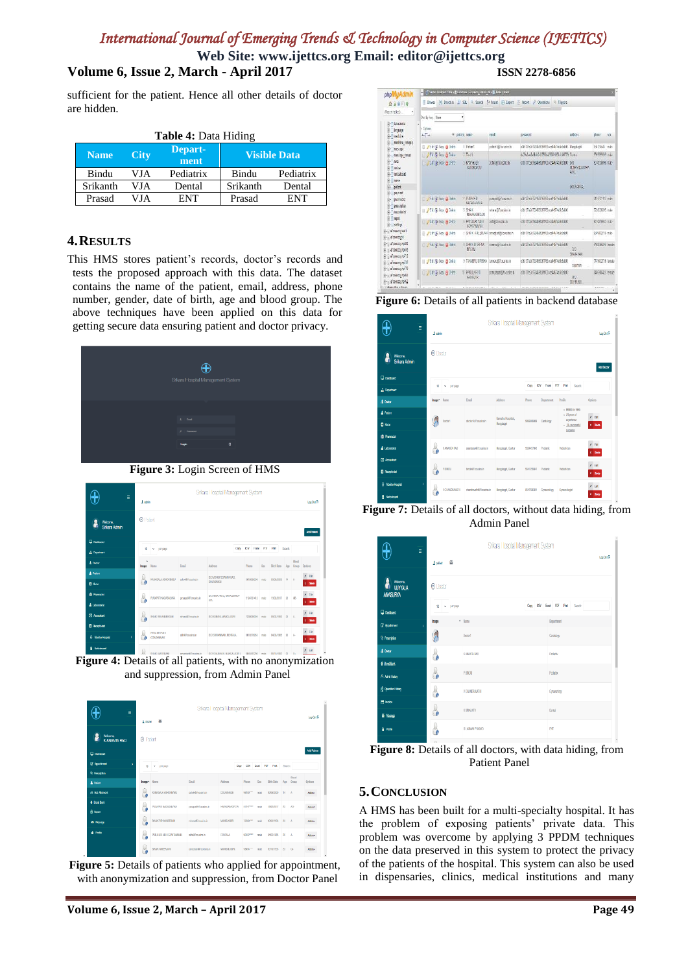**Web Site: www.ijettcs.org Email: editor@ijettcs.org**

# **Volume 6, Issue 2, March - April 2017 ISSN 2278-6856**

sufficient for the patient. Hence all other details of doctor are hidden.

| <b>Table 4: Data Hiding</b> |      |                     |          |           |  |  |  |  |  |
|-----------------------------|------|---------------------|----------|-----------|--|--|--|--|--|
| <b>Name</b>                 | City | <b>Visible Data</b> |          |           |  |  |  |  |  |
| Bindu                       | VJA  | Pediatrix           | Bindu    | Pediatrix |  |  |  |  |  |
| Srikanth                    | VJA  | Dental              | Srikanth | Dental    |  |  |  |  |  |
| Prasad                      | VJA  | ENT                 | Prasad   | ENT       |  |  |  |  |  |

### **4.RESULTS**

This HMS stores patient's records, doctor's records and tests the proposed approach with this data. The dataset contains the name of the patient, email, address, phone number, gender, date of birth, age and blood group. The above techniques have been applied on this data for getting secure data ensuring patient and doctor privacy.



**Figure 3:** Login Screen of HMS

| ╬<br>Ξ                                      |            | Srikara Hospital Management System       |                     |                             |      |            |                       |                   |               |                 |                     |
|---------------------------------------------|------------|------------------------------------------|---------------------|-----------------------------|------|------------|-----------------------|-------------------|---------------|-----------------|---------------------|
|                                             |            | 1 som                                    |                     |                             |      |            |                       |                   |               |                 | Los Out Fr          |
| <b>Wilcome</b><br>θ<br><b>Srikara Admin</b> |            | O Patent<br>Add Patient                  |                     |                             |      |            |                       |                   |               |                 |                     |
| <b>Dation</b>                               |            |                                          |                     |                             | Croy | CSV        | <b>Down PDF Print</b> |                   | <b>Scorek</b> |                 |                     |
| <b>A.</b> Dearmer                           | V)         | v.<br>DOT DRIVE                          |                     |                             |      |            |                       |                   |               |                 |                     |
| A Dotte                                     | ٠<br>Inape | Name                                     | Email               | Address                     |      | Phone      | So c                  | <b>Birth Data</b> | $A$ Cab       | Rood<br>Group   | <b>Oations</b>      |
| A Palon                                     |            | KANNGALA ASHCKSASU                       | sulok@Toppsing.in   | S/O VENNATIONAMIA (MO.      |      |            |                       |                   |               |                 | $/$ Tak             |
| <b>B</b> Next                               |            |                                          |                     | <b>DOLARAUCE</b>            |      | 91839096   | nale                  | 03/08/2029        | 14            | $\overline{A}$  | $x = 0.005$         |
| <b>D</b> Plamack                            | υ          | PUS/PATI MASASALINA                      | pusapa197cousins.in | DO NATA FIAJE, NATIASAFIAS? |      | 998721412  | nde                   | 19/02/2017        | 23            | $\overline{18}$ | $/$ Fdt             |
| A Laboratorial                              |            |                                          |                     | ETA.                        |      |            |                       |                   |               |                 | x Dates             |
| (F) Accountant                              |            | SHAK REHANDERGAM                         | rehera@Teousins.in  | S/O.SLBINI, MAKSLAGIRI      |      | 7258338095 | nzic                  | 03/02/1993        | 23            | $\overline{a}$  | 1.58<br>$x = 0.60$  |
| <b>B</b> Respirated                         |            |                                          |                     |                             |      |            |                       |                   |               |                 |                     |
| <b>B</b> Moritor Hospital                   |            | <b>PSTLLIDLATER</b><br><b>GONTANNAIO</b> | sbhilifoxuins.in    | S/O STEWANNIK, FENTALA      |      | 0010270053 | nate                  | 04/03/7085        | 26 A          |                 | 1.58<br>$x = 0.481$ |
| <b>Distances</b>                            |            |                                          |                     |                             |      |            |                       |                   |               |                 | <b>CONTRACTOR</b>   |



| t<br>$\equiv$                         |                 | Srikara Hospital Management System<br>酉<br>1 dodg |                      |                    |                      |                   |                   |          |           |                    |
|---------------------------------------|-----------------|---------------------------------------------------|----------------------|--------------------|----------------------|-------------------|-------------------|----------|-----------|--------------------|
| <b>Wilcome</b><br><b>K ANANTA RAO</b> | <b>O</b> Patent |                                                   |                      |                    |                      |                   |                   |          |           |                    |
| <b>Districtor</b>                     |                 |                                                   |                      |                    |                      |                   |                   |          |           | <b>Add Patient</b> |
| <b><i>If</i></b> Applitment           | $\mathcal{V}$   | реграде<br>$\overline{a}$                         |                      |                    | CIV<br>Copy          | <b>PSF</b><br>bat | Print             | Seech:   |           |                    |
| <sup>Q</sup> Pencripton               |                 |                                                   |                      |                    |                      |                   |                   |          | Blood     |                    |
| A Palent                              | Image.          | Karna                                             | <b>Court</b>         | Address            | Phone                | Ser               | <b>Dirth Date</b> | $J_{QB}$ | Group     | Ontions            |
| <b>El Bol Alomost</b>                 |                 | KANSALA ASHOKSASU                                 | estok@7cousins.in    | <b>DOLASNAGE</b>   | 96180***             | máx               | 03/08/2009        | $^{4}$   | A         | Azion -            |
| <b>&amp; Bood Bank</b>                | ω               | PUSARID NASASASYONA                               | purepriet/country.in | <b>MARSARKITTA</b> | 913 C <sup>PRA</sup> | role              | 18/07/2017        | 23       | A3-       |                    |
| <b>A</b> Report                       | ٠,              |                                                   |                      |                    |                      |                   |                   |          |           | Adam               |
| 25 Notate                             | ω<br>L.         | SHAK REHAWSEGAN                                   | retenut@ossins.in    | <b>MAKKLAGER</b>   | 72380***             | más               | 03/02/1993        | 23       | $\Lambda$ | Azion v            |
| <b>A</b> Polk                         | 6               | PROJECT ADDITION/DAMAGE                           | striktl'courist in   | <b>RENTALA</b>     | 901020000            | mole              | DANIA/1985        | 95       | A.        | Adam               |
|                                       | U<br>7          | <b>SANK AVEERJAN</b>                              | greeign@reasin.in    | <b>MAKINTAGEL</b>  | 98454****            | make              | 03/18/1998        | 23       | 0         | Adan v             |

**Figure 5:** Details of patients who applied for appointment, with anonymization and suppression, from Doctor Panel

| phpMyAdmin                                          | C Seve boths! S& E bodge situacy obes de E bis plant |                                                  |                                     |                                                                                                                                        |                                  |                    |
|-----------------------------------------------------|------------------------------------------------------|--------------------------------------------------|-------------------------------------|----------------------------------------------------------------------------------------------------------------------------------------|----------------------------------|--------------------|
| $A + 9 = 8$                                         | Ш<br><b>Blows:</b>                                   | M Strocture   SQL A Search 34 Insert   Li Laport |                                     | in Import & Operations N. Triggers                                                                                                     |                                  |                    |
| Record tables).<br>٠                                | Set by kee. None                                     | ٠                                                |                                     |                                                                                                                                        |                                  |                    |
| laboratorial                                        |                                                      |                                                  |                                     |                                                                                                                                        |                                  |                    |
| brenas                                              | $+$ Optima                                           |                                                  | enail                               |                                                                                                                                        | address                          |                    |
| <b><i><u>Institute</u></i></b>                      | $+T +$                                               | v outent name                                    |                                     | <b>DASSWORD</b>                                                                                                                        |                                  | phone<br>508       |
| medicine category                                   | □ /tdt (H Copy @ DNets                               | 1 Patent                                         | pritent life country. In            | cDS3/626703599999532xx485786956603 Managerid                                                                                           |                                  | MATASAS main       |
| message                                             | 216 pl Cory @ Deleve                                 | $2$ Twild                                        |                                     | 4/3/ww5/84/4/4259/w55601890/j/80709 Curtur                                                                                             |                                  | 000000000 male     |
| message thread<br>003                               |                                                      |                                                  |                                     |                                                                                                                                        |                                  |                    |
| mice<br>noisbaré                                    | ■ 2Lの N Coy 白 DNtt                                   | 3 KMAGALA<br><b>ASISSION</b>                     | ashoi@Tousdas.in                    | c16(3)1:2d792459201163ccc4657454b3cb83                                                                                                 | 30<br><b>VENGGLSVING</b><br>R/O. | 9700096 map        |
| $018+$<br>patent<br>растит                          |                                                      |                                                  |                                     |                                                                                                                                        | <b>DURAHA</b>                    |                    |
| pharmacist<br>precipien                             | Fill 3 Core @ Delete                                 | 4 PIEAPATI<br>NASASAIVILA                        | puseed@lenorocin                    | d1378/69/2015/09/06/apr/67686463                                                                                                       |                                  | 50-02:40 max       |
| receitionst                                         | / Edi § LCory @ Delais<br>Ħ                          | 5 SHAIK<br><b>FIFHANARFOAM</b>                   | www97ozaincin                       | c36137626792459(260763ccw44574a5b5ab03                                                                                                 |                                  | 7238136355 main    |
| <b>HELL</b><br>cettras                              | JEdi NiCory & DNot                                   | <b>S PATILURI ASHI</b><br><b>GONTHRIAK</b>       | 10097cousins.in                     | <b837c2d792499f28f763ccc44674z9b5zb03< td=""><td></td><td>9010276957 main</td></b837c2d792499f28f763ccc44674z9b5zb03<>                 |                                  | 9010276957 main    |
| altranta both<br>a/counce.tsl                       | □ /td にCox ● DNts                                    |                                                  | / SHAK AWLERIAN ameeter(B/couchs.in |                                                                                                                                        |                                  | 9689432/06 main    |
| a7cource world2<br>alcouzce volid<br>arcource up/12 | Phil 31 Cox 2 Delete                                 | <b>8 SHAK BITERIA</b><br>FECUL                   | cinem@lessirx.in                    |                                                                                                                                        | 00<br>SHATAHAN                   | 5/63(6035 liente)  |
| alemann unit)<br>$\frac{2}{3}$ -) атомиц чо7А       | <b>But A But Copy @ Dalate</b>                       | 9 TANNERU SIRISHA                                | tatraru97cosite.in                  | <b4376247924591260763cce44574a5b5ab03< td=""><td><b>CUNTUR</b></td><td>7749432706 formals</td></b4376247924591260763cce44574a5b5ab03<> | <b>CUNTUR</b>                    | 7749432706 formals |
| alcounts webbl<br>a7cousco_uo952                    | J J Lot 14 Cory & Delett                             | 12 PHALARYT<br>6/1/331R                          | constants/cousing.in                | c317332d79249928f763ccc4467428b3zb83                                                                                                   | MV.<br><b>SIV-KUNS</b>           | 149906425 female   |
| Distanced as a shares                               | 41, 83, 6<br><b>MAGA</b>                             |                                                  |                                     | ALCO DOMESTIC AND A REPORT OF A 49-YEAR-OLD FEMALE.<br>440333333499                                                                    |                                  |                    |

Figure 6: Details of all patients in backend database



**Figure 7:** Details of all doctors, without data hiding, from Admin Panel

| Ξ                                                   | Srikara I lospital Management System<br>ø<br>A priver |                   |         |                                  |  |  |  |  |
|-----------------------------------------------------|-------------------------------------------------------|-------------------|---------|----------------------------------|--|--|--|--|
| <b>Witcoms</b><br><b>VUYYALA</b><br><b>ANASURYA</b> | $Q$ Doctor                                            |                   |         |                                  |  |  |  |  |
| <b>Q</b> Dattord                                    | реграда<br>11<br>٧                                    |                   | Cay CBV | <b>Boot</b> PDF<br>Pint<br>Seech |  |  |  |  |
| <b>Z</b> Applitment<br>ÿ                            | Image                                                 | $A$ <b>Rama</b>   |         | Department                       |  |  |  |  |
| <sup>0</sup> Pencipion                              | y                                                     | Doctor1           |         | Cardidopy                        |  |  |  |  |
| A Donor                                             | 8                                                     | KANAKTA RAD       |         | <b>Factoris</b>                  |  |  |  |  |
| <b>6 Bootbank</b>                                   |                                                       |                   |         |                                  |  |  |  |  |
| <b>A Admit History</b>                              | 8                                                     | PBNDJ             |         | <b>Roburn</b>                    |  |  |  |  |
| <b>Openin Hory</b>                                  | ြ                                                     | VOIAADRAMTH       |         | Gravaica                         |  |  |  |  |
| 目 indo                                              |                                                       |                   |         |                                  |  |  |  |  |
| a Nosee                                             | 8                                                     | <b>K SFIKANTH</b> |         | Dontal                           |  |  |  |  |
| A Polis                                             |                                                       | G LAXIMA PRASAD   |         | PIT                              |  |  |  |  |

**Figure 8:** Details of all doctors, with data hiding, from Patient Panel

#### **5.CONCLUSION**

A HMS has been built for a multi-specialty hospital. It has the problem of exposing patients' private data. This problem was overcome by applying 3 PPDM techniques on the data preserved in this system to protect the privacy of the patients of the hospital. This system can also be used in dispensaries, clinics, medical institutions and many